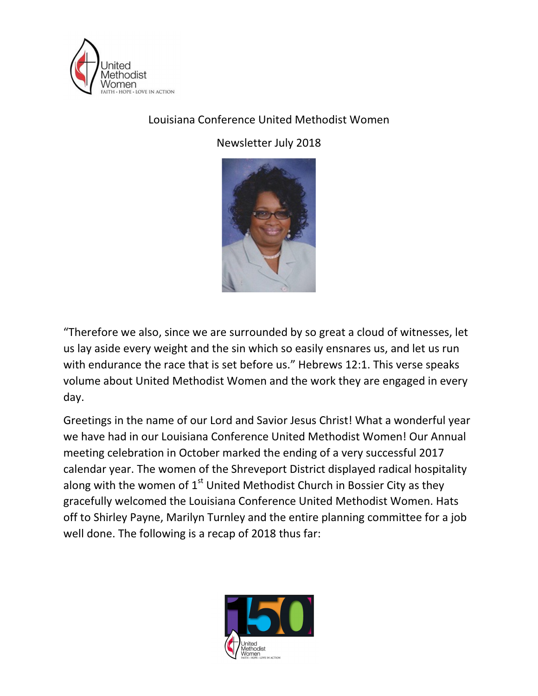

## Louisiana Conference United Methodist Women

Newsletter July 2018



"Therefore we also, since we are surrounded by so great a cloud of witnesses, let us lay aside every weight and the sin which so easily ensnares us, and let us run with endurance the race that is set before us." Hebrews 12:1. This verse speaks volume about United Methodist Women and the work they are engaged in every day.

Greetings in the name of our Lord and Savior Jesus Christ! What a wonderful year we have had in our Louisiana Conference United Methodist Women! Our Annual meeting celebration in October marked the ending of a very successful 2017 calendar year. The women of the Shreveport District displayed radical hospitality along with the women of  $1<sup>st</sup>$  United Methodist Church in Bossier City as they gracefully welcomed the Louisiana Conference United Methodist Women. Hats off to Shirley Payne, Marilyn Turnley and the entire planning committee for a job well done. The following is a recap of 2018 thus far:

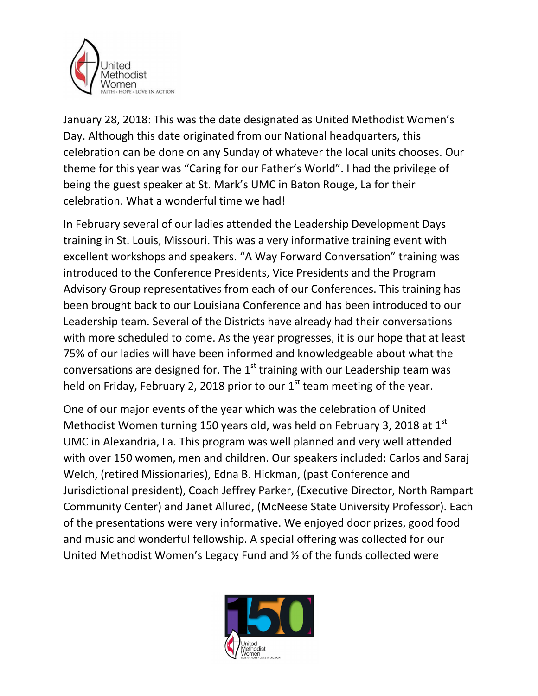

January 28, 2018: This was the date designated as United Methodist Women's Day. Although this date originated from our National headquarters, this celebration can be done on any Sunday of whatever the local units chooses. Our theme for this year was "Caring for our Father's World". I had the privilege of being the guest speaker at St. Mark's UMC in Baton Rouge, La for their celebration. What a wonderful time we had!

In February several of our ladies attended the Leadership Development Days training in St. Louis, Missouri. This was a very informative training event with excellent workshops and speakers. "A Way Forward Conversation" training was introduced to the Conference Presidents, Vice Presidents and the Program Advisory Group representatives from each of our Conferences. This training has been brought back to our Louisiana Conference and has been introduced to our Leadership team. Several of the Districts have already had their conversations with more scheduled to come. As the year progresses, it is our hope that at least 75% of our ladies will have been informed and knowledgeable about what the conversations are designed for. The  $1<sup>st</sup>$  training with our Leadership team was held on Friday, February 2, 2018 prior to our  $1<sup>st</sup>$  team meeting of the year.

One of our major events of the year which was the celebration of United Methodist Women turning 150 years old, was held on February 3, 2018 at  $1<sup>st</sup>$ UMC in Alexandria, La. This program was well planned and very well attended with over 150 women, men and children. Our speakers included: Carlos and Saraj Welch, (retired Missionaries), Edna B. Hickman, (past Conference and Jurisdictional president), Coach Jeffrey Parker, (Executive Director, North Rampart Community Center) and Janet Allured, (McNeese State University Professor). Each of the presentations were very informative. We enjoyed door prizes, good food and music and wonderful fellowship. A special offering was collected for our United Methodist Women's Legacy Fund and ½ of the funds collected were

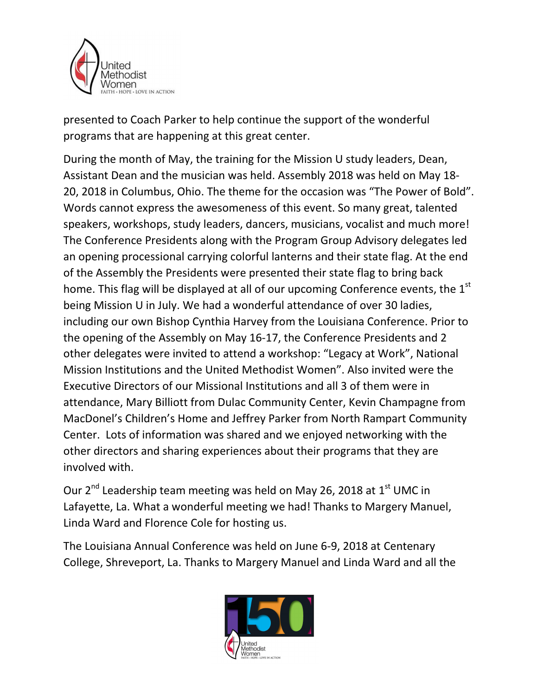

presented to Coach Parker to help continue the support of the wonderful programs that are happening at this great center.

During the month of May, the training for the Mission U study leaders, Dean, Assistant Dean and the musician was held. Assembly 2018 was held on May 18- 20, 2018 in Columbus, Ohio. The theme for the occasion was "The Power of Bold". Words cannot express the awesomeness of this event. So many great, talented speakers, workshops, study leaders, dancers, musicians, vocalist and much more! The Conference Presidents along with the Program Group Advisory delegates led an opening processional carrying colorful lanterns and their state flag. At the end of the Assembly the Presidents were presented their state flag to bring back home. This flag will be displayed at all of our upcoming Conference events, the  $1<sup>st</sup>$ being Mission U in July. We had a wonderful attendance of over 30 ladies, including our own Bishop Cynthia Harvey from the Louisiana Conference. Prior to the opening of the Assembly on May 16-17, the Conference Presidents and 2 other delegates were invited to attend a workshop: "Legacy at Work", National Mission Institutions and the United Methodist Women". Also invited were the Executive Directors of our Missional Institutions and all 3 of them were in attendance, Mary Billiott from Dulac Community Center, Kevin Champagne from MacDonel's Children's Home and Jeffrey Parker from North Rampart Community Center. Lots of information was shared and we enjoyed networking with the other directors and sharing experiences about their programs that they are involved with.

Our 2<sup>nd</sup> Leadership team meeting was held on May 26, 2018 at 1<sup>st</sup> UMC in Lafayette, La. What a wonderful meeting we had! Thanks to Margery Manuel, Linda Ward and Florence Cole for hosting us.

The Louisiana Annual Conference was held on June 6-9, 2018 at Centenary College, Shreveport, La. Thanks to Margery Manuel and Linda Ward and all the